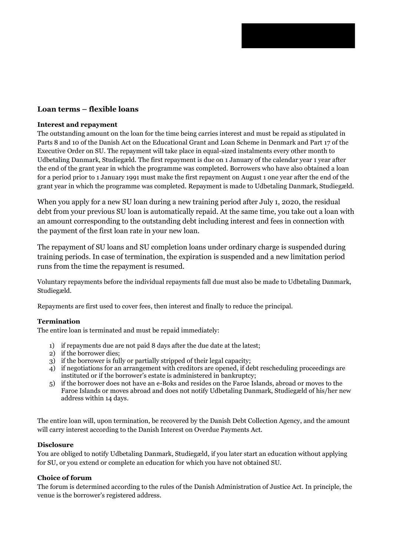# **Loan terms – flexible loans**

### **Interest and repayment**

The outstanding amount on the loan for the time being carries interest and must be repaid as stipulated in Parts 8 and 10 of the Danish Act on the Educational Grant and Loan Scheme in Denmark and Part 17 of the Executive Order on SU. The repayment will take place in equal-sized instalments every other month to Udbetaling Danmark, Studiegæld. The first repayment is due on 1 January of the calendar year 1 year after the end of the grant year in which the programme was completed. Borrowers who have also obtained a loan for a period prior to 1 January 1991 must make the first repayment on August 1 one year after the end of the grant year in which the programme was completed. Repayment is made to Udbetaling Danmark, Studiegæld.

When you apply for a new SU loan during a new training period after July 1, 2020, the residual debt from your previous SU loan is automatically repaid. At the same time, you take out a loan with an amount corresponding to the outstanding debt including interest and fees in connection with the payment of the first loan rate in your new loan.

The repayment of SU loans and SU completion loans under ordinary charge is suspended during training periods. In case of termination, the expiration is suspended and a new limitation period runs from the time the repayment is resumed.

Voluntary repayments before the individual repayments fall due must also be made to Udbetaling Danmark, Studiegæld.

Repayments are first used to cover fees, then interest and finally to reduce the principal.

#### **Termination**

The entire loan is terminated and must be repaid immediately:

- 1) if repayments due are not paid 8 days after the due date at the latest;
- 2) if the borrower dies;
- 3) if the borrower is fully or partially stripped of their legal capacity;
- 4) if negotiations for an arrangement with creditors are opened, if debt rescheduling proceedings are instituted or if the borrower's estate is administered in bankruptcy;
- 5) if the borrower does not have an e-Boks and resides on the Faroe Islands, abroad or moves to the Faroe Islands or moves abroad and does not notify Udbetaling Danmark, Studiegæld of his/her new address within 14 days.

The entire loan will, upon termination, be recovered by the Danish Debt Collection Agency, and the amount will carry interest according to the Danish Interest on Overdue Payments Act.

#### **Disclosure**

You are obliged to notify Udbetaling Danmark, Studiegæld, if you later start an education without applying for SU, or you extend or complete an education for which you have not obtained SU.

#### **Choice of forum**

The forum is determined according to the rules of the Danish Administration of Justice Act. In principle, the venue is the borrower's registered address.